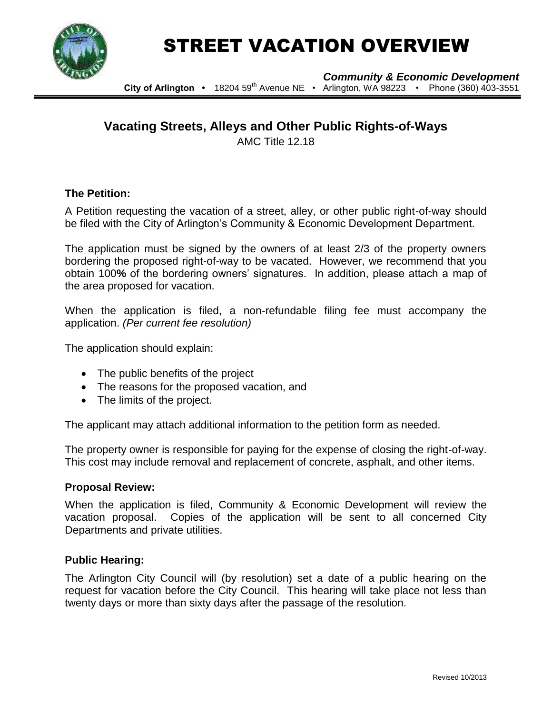

# STREET VACATION OVERVIEW

*Community & Economic Development* 

**City of Arlington •** 18204 59th Avenue NE • Arlington, WA 98223 • Phone (360) 403-3551

# **Vacating Streets, Alleys and Other Public Rights-of-Ways**

AMC Title 12.18

### **The Petition:**

A Petition requesting the vacation of a street, alley, or other public right-of-way should be filed with the City of Arlington's Community & Economic Development Department.

The application must be signed by the owners of at least 2/3 of the property owners bordering the proposed right-of-way to be vacated. However, we recommend that you obtain 100**%** of the bordering owners' signatures. In addition, please attach a map of the area proposed for vacation.

When the application is filed, a non-refundable filing fee must accompany the application. *(Per current fee resolution)*

The application should explain:

- The public benefits of the project
- The reasons for the proposed vacation, and
- The limits of the project.

The applicant may attach additional information to the petition form as needed.

The property owner is responsible for paying for the expense of closing the right-of-way. This cost may include removal and replacement of concrete, asphalt, and other items.

#### **Proposal Review:**

When the application is filed, Community & Economic Development will review the vacation proposal. Copies of the application will be sent to all concerned City Departments and private utilities.

#### **Public Hearing:**

The Arlington City Council will (by resolution) set a date of a public hearing on the request for vacation before the City Council. This hearing will take place not less than twenty days or more than sixty days after the passage of the resolution.